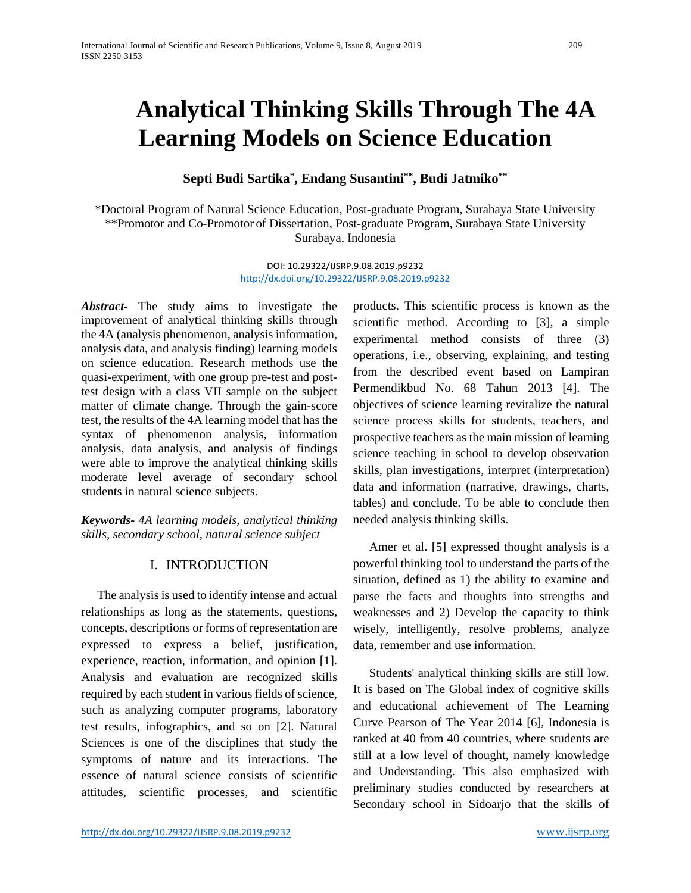# **Analytical Thinking Skills Through The 4A Learning Models on Science Education**

# **Septi Budi Sartika\* , Endang Susantini\*\*, Budi Jatmiko\*\***

\*Doctoral Program of Natural Science Education, Post-graduate Program, Surabaya State University \*\*Promotor and Co-Promotor of Dissertation, Post-graduate Program, Surabaya State University Surabaya, Indonesia

> DOI: 10.29322/IJSRP.9.08.2019.p9232 <http://dx.doi.org/10.29322/IJSRP.9.08.2019.p9232>

*Abstract-* The study aims to investigate the improvement of analytical thinking skills through the 4A (analysis phenomenon, analysis information, analysis data, and analysis finding) learning models on science education. Research methods use the quasi-experiment, with one group pre-test and posttest design with a class VII sample on the subject matter of climate change. Through the gain-score test, the results of the 4A learning model that has the syntax of phenomenon analysis, information analysis, data analysis, and analysis of findings were able to improve the analytical thinking skills moderate level average of secondary school students in natural science subjects.

*Keywords- 4A learning models, analytical thinking skills, secondary school, natural science subject*

## I. INTRODUCTION

The analysis is used to identify intense and actual relationships as long as the statements, questions, concepts, descriptions or forms of representation are expressed to express a belief, justification, experience, reaction, information, and opinion [1]. Analysis and evaluation are recognized skills required by each student in various fields of science, such as analyzing computer programs, laboratory test results, infographics, and so on [2]. Natural Sciences is one of the disciplines that study the symptoms of nature and its interactions. The essence of natural science consists of scientific attitudes, scientific processes, and scientific products. This scientific process is known as the scientific method. According to [3], a simple experimental method consists of three (3) operations, i.e., observing, explaining, and testing from the described event based on Lampiran Permendikbud No. 68 Tahun 2013 [4]. The objectives of science learning revitalize the natural science process skills for students, teachers, and prospective teachers as the main mission of learning science teaching in school to develop observation skills, plan investigations, interpret (interpretation) data and information (narrative, drawings, charts, tables) and conclude. To be able to conclude then needed analysis thinking skills.

Amer et al. [5] expressed thought analysis is a powerful thinking tool to understand the parts of the situation, defined as 1) the ability to examine and parse the facts and thoughts into strengths and weaknesses and 2) Develop the capacity to think wisely, intelligently, resolve problems, analyze data, remember and use information.

Students' analytical thinking skills are still low. It is based on The Global index of cognitive skills and educational achievement of The Learning Curve Pearson of The Year 2014 [6], Indonesia is ranked at 40 from 40 countries, where students are still at a low level of thought, namely knowledge and Understanding. This also emphasized with preliminary studies conducted by researchers at Secondary school in Sidoarjo that the skills of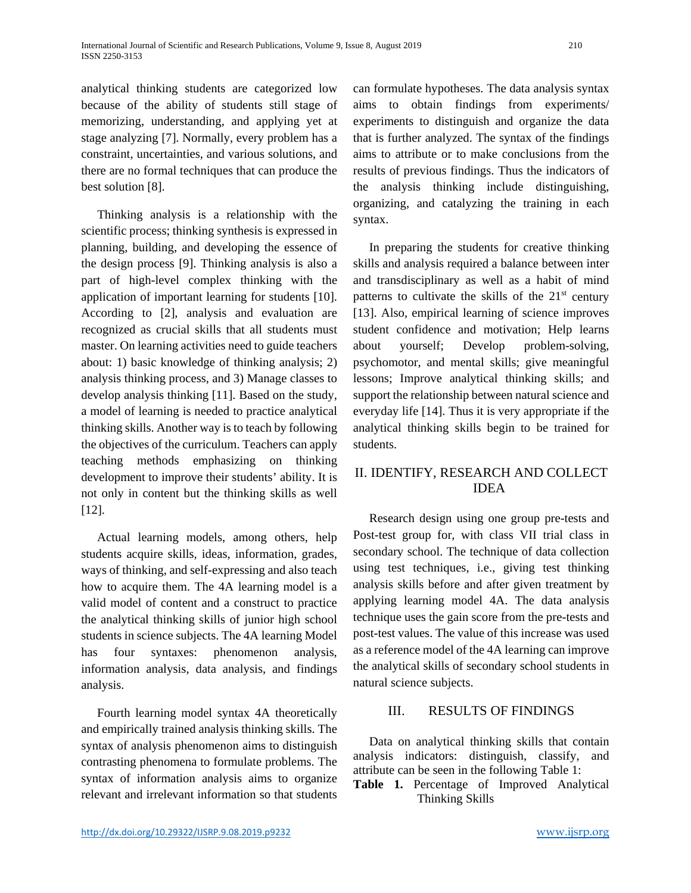analytical thinking students are categorized low because of the ability of students still stage of memorizing, understanding, and applying yet at stage analyzing [7]. Normally, every problem has a constraint, uncertainties, and various solutions, and there are no formal techniques that can produce the best solution [8].

Thinking analysis is a relationship with the scientific process; thinking synthesis is expressed in planning, building, and developing the essence of the design process [9]. Thinking analysis is also a part of high-level complex thinking with the application of important learning for students [10]. According to [2], analysis and evaluation are recognized as crucial skills that all students must master. On learning activities need to guide teachers about: 1) basic knowledge of thinking analysis; 2) analysis thinking process, and 3) Manage classes to develop analysis thinking [11]. Based on the study, a model of learning is needed to practice analytical thinking skills. Another way is to teach by following the objectives of the curriculum. Teachers can apply teaching methods emphasizing on thinking development to improve their students' ability. It is not only in content but the thinking skills as well [12].

Actual learning models, among others, help students acquire skills, ideas, information, grades, ways of thinking, and self-expressing and also teach how to acquire them. The 4A learning model is a valid model of content and a construct to practice the analytical thinking skills of junior high school students in science subjects. The 4A learning Model has four syntaxes: phenomenon analysis, information analysis, data analysis, and findings analysis.

Fourth learning model syntax 4A theoretically and empirically trained analysis thinking skills. The syntax of analysis phenomenon aims to distinguish contrasting phenomena to formulate problems. The syntax of information analysis aims to organize relevant and irrelevant information so that students can formulate hypotheses. The data analysis syntax aims to obtain findings from experiments/ experiments to distinguish and organize the data that is further analyzed. The syntax of the findings aims to attribute or to make conclusions from the results of previous findings. Thus the indicators of the analysis thinking include distinguishing, organizing, and catalyzing the training in each syntax.

In preparing the students for creative thinking skills and analysis required a balance between inter and transdisciplinary as well as a habit of mind patterns to cultivate the skills of the  $21<sup>st</sup>$  century [13]. Also, empirical learning of science improves student confidence and motivation; Help learns about yourself; Develop problem-solving, psychomotor, and mental skills; give meaningful lessons; Improve analytical thinking skills; and support the relationship between natural science and everyday life [14]. Thus it is very appropriate if the analytical thinking skills begin to be trained for students.

## II. IDENTIFY, RESEARCH AND COLLECT IDEA

Research design using one group pre-tests and Post-test group for, with class VII trial class in secondary school. The technique of data collection using test techniques, i.e., giving test thinking analysis skills before and after given treatment by applying learning model 4A. The data analysis technique uses the gain score from the pre-tests and post-test values. The value of this increase was used as a reference model of the 4A learning can improve the analytical skills of secondary school students in natural science subjects.

## III. RESULTS OF FINDINGS

Data on analytical thinking skills that contain analysis indicators: distinguish, classify, and attribute can be seen in the following Table 1:

**Table 1.** Percentage of Improved Analytical Thinking Skills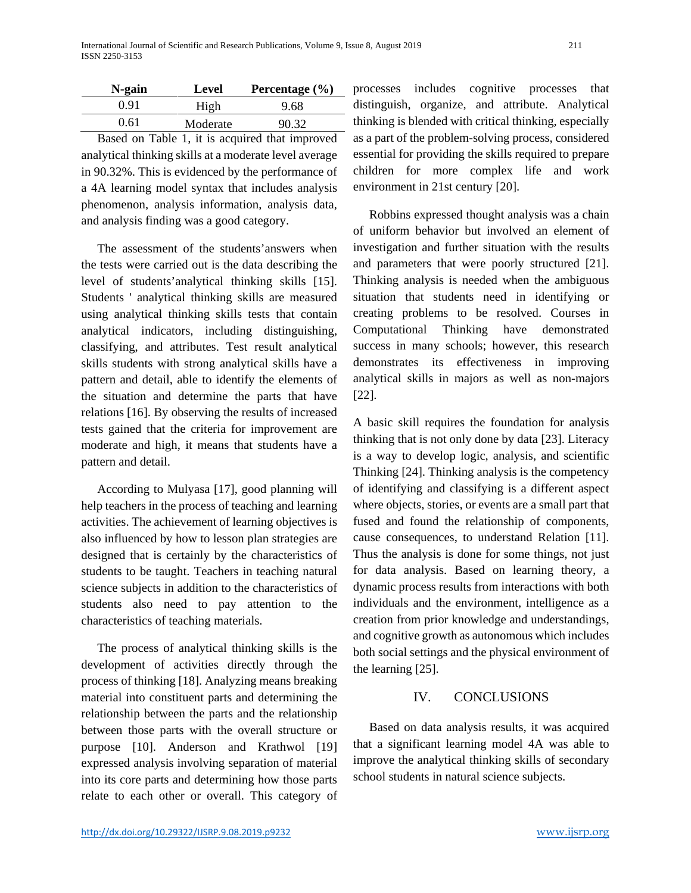| N-gain | Level    | Percentage $(\% )$ |
|--------|----------|--------------------|
| 0.91   | High     | 9.68               |
| 0.61   | Moderate | 90.32              |

Based on Table 1, it is acquired that improved analytical thinking skills at a moderate level average in 90.32%. This is evidenced by the performance of a 4A learning model syntax that includes analysis phenomenon, analysis information, analysis data, and analysis finding was a good category.

The assessment of the students'answers when the tests were carried out is the data describing the level of students'analytical thinking skills [15]. Students ' analytical thinking skills are measured using analytical thinking skills tests that contain analytical indicators, including distinguishing, classifying, and attributes. Test result analytical skills students with strong analytical skills have a pattern and detail, able to identify the elements of the situation and determine the parts that have relations [16]. By observing the results of increased tests gained that the criteria for improvement are moderate and high, it means that students have a pattern and detail.

According to Mulyasa [17], good planning will help teachers in the process of teaching and learning activities. The achievement of learning objectives is also influenced by how to lesson plan strategies are designed that is certainly by the characteristics of students to be taught. Teachers in teaching natural science subjects in addition to the characteristics of students also need to pay attention to the characteristics of teaching materials.

The process of analytical thinking skills is the development of activities directly through the process of thinking [18]. Analyzing means breaking material into constituent parts and determining the relationship between the parts and the relationship between those parts with the overall structure or purpose [10]. Anderson and Krathwol [19] expressed analysis involving separation of material into its core parts and determining how those parts relate to each other or overall. This category of processes includes cognitive processes that distinguish, organize, and attribute. Analytical thinking is blended with critical thinking, especially as a part of the problem-solving process, considered essential for providing the skills required to prepare children for more complex life and work environment in 21st century [20].

Robbins expressed thought analysis was a chain of uniform behavior but involved an element of investigation and further situation with the results and parameters that were poorly structured [21]. Thinking analysis is needed when the ambiguous situation that students need in identifying or creating problems to be resolved. Courses in Computational Thinking have demonstrated success in many schools; however, this research demonstrates its effectiveness in improving analytical skills in majors as well as non-majors [22].

A basic skill requires the foundation for analysis thinking that is not only done by data [23]. Literacy is a way to develop logic, analysis, and scientific Thinking [24]. Thinking analysis is the competency of identifying and classifying is a different aspect where objects, stories, or events are a small part that fused and found the relationship of components, cause consequences, to understand Relation [11]. Thus the analysis is done for some things, not just for data analysis. Based on learning theory, a dynamic process results from interactions with both individuals and the environment, intelligence as a creation from prior knowledge and understandings, and cognitive growth as autonomous which includes both social settings and the physical environment of the learning [25].

## IV. CONCLUSIONS

Based on data analysis results, it was acquired that a significant learning model 4A was able to improve the analytical thinking skills of secondary school students in natural science subjects.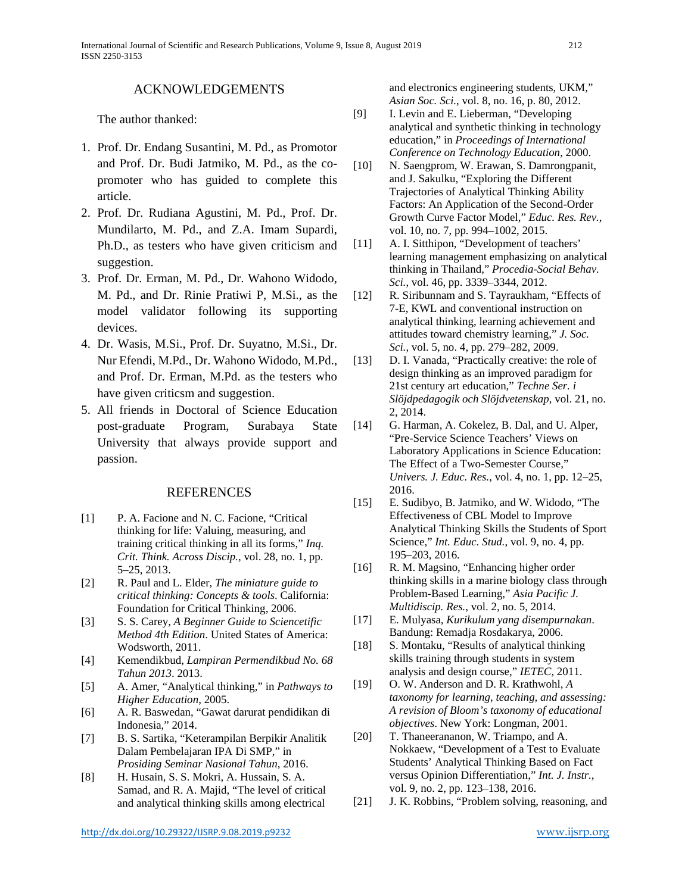#### ACKNOWLEDGEMENTS

The author thanked:

- 1. Prof. Dr. Endang Susantini, M. Pd., as Promotor and Prof. Dr. Budi Jatmiko, M. Pd., as the copromoter who has guided to complete this article.
- 2. Prof. Dr. Rudiana Agustini, M. Pd., Prof. Dr. Mundilarto, M. Pd., and Z.A. Imam Supardi, Ph.D., as testers who have given criticism and suggestion.
- 3. Prof. Dr. Erman, M. Pd., Dr. Wahono Widodo, M. Pd., and Dr. Rinie Pratiwi P, M.Si., as the model validator following its supporting devices.
- 4. Dr. Wasis, M.Si., Prof. Dr. Suyatno, M.Si., Dr. Nur Efendi, M.Pd., Dr. Wahono Widodo, M.Pd., and Prof. Dr. Erman, M.Pd. as the testers who have given criticsm and suggestion.
- 5. All friends in Doctoral of Science Education post-graduate Program, Surabaya State University that always provide support and passion.

#### REFERENCES

- [1] P. A. Facione and N. C. Facione, "Critical thinking for life: Valuing, measuring, and training critical thinking in all its forms," *Inq. Crit. Think. Across Discip.*, vol. 28, no. 1, pp. 5–25, 2013.
- [2] R. Paul and L. Elder, *The miniature guide to critical thinking: Concepts & tools*. California: Foundation for Critical Thinking, 2006.
- [3] S. S. Carey, *A Beginner Guide to Sciencetific Method 4th Edition*. United States of America: Wodsworth, 2011.
- [4] Kemendikbud, *Lampiran Permendikbud No. 68 Tahun 2013*. 2013.
- [5] A. Amer, "Analytical thinking," in *Pathways to Higher Education*, 2005.
- [6] A. R. Baswedan, "Gawat darurat pendidikan di Indonesia," 2014.
- [7] B. S. Sartika, "Keterampilan Berpikir Analitik Dalam Pembelajaran IPA Di SMP," in *Prosiding Seminar Nasional Tahun*, 2016.
- [8] H. Husain, S. S. Mokri, A. Hussain, S. A. Samad, and R. A. Majid, "The level of critical and analytical thinking skills among electrical

and electronics engineering students, UKM," *Asian Soc. Sci.*, vol. 8, no. 16, p. 80, 2012.

- [9] I. Levin and E. Lieberman, "Developing analytical and synthetic thinking in technology education," in *Proceedings of International Conference on Technology Education*, 2000.
- [10] N. Saengprom, W. Erawan, S. Damrongpanit, and J. Sakulku, "Exploring the Different Trajectories of Analytical Thinking Ability Factors: An Application of the Second-Order Growth Curve Factor Model," *Educ. Res. Rev.*, vol. 10, no. 7, pp. 994–1002, 2015.
- [11] A. I. Sitthipon, "Development of teachers" learning management emphasizing on analytical thinking in Thailand," *Procedia-Social Behav. Sci.*, vol. 46, pp. 3339–3344, 2012.
- [12] R. Siribunnam and S. Tayraukham, "Effects of 7-E, KWL and conventional instruction on analytical thinking, learning achievement and attitudes toward chemistry learning," *J. Soc. Sci.*, vol. 5, no. 4, pp. 279–282, 2009.
- [13] D. I. Vanada, "Practically creative: the role of design thinking as an improved paradigm for 21st century art education," *Techne Ser. i Slöjdpedagogik och Slöjdvetenskap*, vol. 21, no. 2, 2014.
- [14] G. Harman, A. Cokelez, B. Dal, and U. Alper, "Pre-Service Science Teachers' Views on Laboratory Applications in Science Education: The Effect of a Two-Semester Course," *Univers. J. Educ. Res.*, vol. 4, no. 1, pp. 12–25, 2016.
- [15] E. Sudibyo, B. Jatmiko, and W. Widodo, "The Effectiveness of CBL Model to Improve Analytical Thinking Skills the Students of Sport Science," *Int. Educ. Stud.*, vol. 9, no. 4, pp. 195–203, 2016.
- [16] R. M. Magsino, "Enhancing higher order thinking skills in a marine biology class through Problem-Based Learning," *Asia Pacific J. Multidiscip. Res.*, vol. 2, no. 5, 2014.
- [17] E. Mulyasa, *Kurikulum yang disempurnakan*. Bandung: Remadja Rosdakarya, 2006.
- [18] S. Montaku, "Results of analytical thinking skills training through students in system analysis and design course," *IETEC*, 2011.
- [19] O. W. Anderson and D. R. Krathwohl, *A taxonomy for learning, teaching, and assessing: A revision of Bloom's taxonomy of educational objectives*. New York: Longman, 2001.
- [20] T. Thaneerananon, W. Triampo, and A. Nokkaew, "Development of a Test to Evaluate Students' Analytical Thinking Based on Fact versus Opinion Differentiation," *Int. J. Instr.*, vol. 9, no. 2, pp. 123–138, 2016.
- [21] J. K. Robbins, "Problem solving, reasoning, and